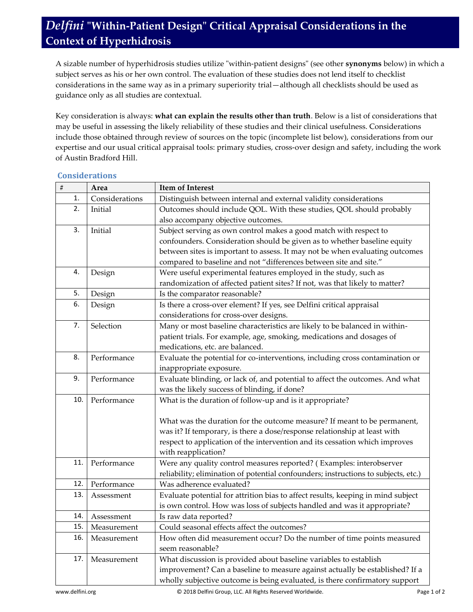## *Delfini* **"Within-Patient Design" Critical Appraisal Considerations in the Context of Hyperhidrosis**

A sizable number of hyperhidrosis studies utilize "within-patient designs" (see other **synonyms** below) in which a subject serves as his or her own control. The evaluation of these studies does not lend itself to checklist considerations in the same way as in a primary superiority trial—although all checklists should be used as guidance only as all studies are contextual.

Key consideration is always: **what can explain the results other than truth**. Below is a list of considerations that may be useful in assessing the likely reliability of these studies and their clinical usefulness. Considerations include those obtained through review of sources on the topic (incomplete list below), considerations from our expertise and our usual critical appraisal tools: primary studies, cross-over design and safety, including the work of Austin Bradford Hill.

| $\#$ | Area           | <b>Item of Interest</b>                                                            |
|------|----------------|------------------------------------------------------------------------------------|
| 1.   | Considerations | Distinguish between internal and external validity considerations                  |
| 2.   | Initial        | Outcomes should include QOL. With these studies, QOL should probably               |
|      |                | also accompany objective outcomes.                                                 |
| 3.   | Initial        | Subject serving as own control makes a good match with respect to                  |
|      |                | confounders. Consideration should be given as to whether baseline equity           |
|      |                | between sites is important to assess. It may not be when evaluating outcomes       |
|      |                | compared to baseline and not "differences between site and site."                  |
| 4.   | Design         | Were useful experimental features employed in the study, such as                   |
|      |                | randomization of affected patient sites? If not, was that likely to matter?        |
| 5.   | Design         | Is the comparator reasonable?                                                      |
| 6.   | Design         | Is there a cross-over element? If yes, see Delfini critical appraisal              |
|      |                | considerations for cross-over designs.                                             |
| 7.   | Selection      | Many or most baseline characteristics are likely to be balanced in within-         |
|      |                | patient trials. For example, age, smoking, medications and dosages of              |
|      |                | medications, etc. are balanced.                                                    |
| 8.   | Performance    | Evaluate the potential for co-interventions, including cross contamination or      |
|      |                | inappropriate exposure.                                                            |
| 9.   | Performance    | Evaluate blinding, or lack of, and potential to affect the outcomes. And what      |
|      |                | was the likely success of blinding, if done?                                       |
| 10.  | Performance    | What is the duration of follow-up and is it appropriate?                           |
|      |                |                                                                                    |
|      |                | What was the duration for the outcome measure? If meant to be permanent,           |
|      |                | was it? If temporary, is there a dose/response relationship at least with          |
|      |                | respect to application of the intervention and its cessation which improves        |
|      |                | with reapplication?                                                                |
| 11.  | Performance    | Were any quality control measures reported? (Examples: interobserver               |
|      |                | reliability; elimination of potential confounders; instructions to subjects, etc.) |
| 12.  | Performance    | Was adherence evaluated?                                                           |
| 13.  | Assessment     | Evaluate potential for attrition bias to affect results, keeping in mind subject   |
|      |                | is own control. How was loss of subjects handled and was it appropriate?           |
| 14.  | Assessment     | Is raw data reported?                                                              |
| 15.  | Measurement    | Could seasonal effects affect the outcomes?                                        |
| 16.  | Measurement    | How often did measurement occur? Do the number of time points measured             |
|      |                | seem reasonable?                                                                   |
| 17.  | Measurement    | What discussion is provided about baseline variables to establish                  |
|      |                | improvement? Can a baseline to measure against actually be established? If a       |
|      |                | wholly subjective outcome is being evaluated, is there confirmatory support        |

### **Considerations**